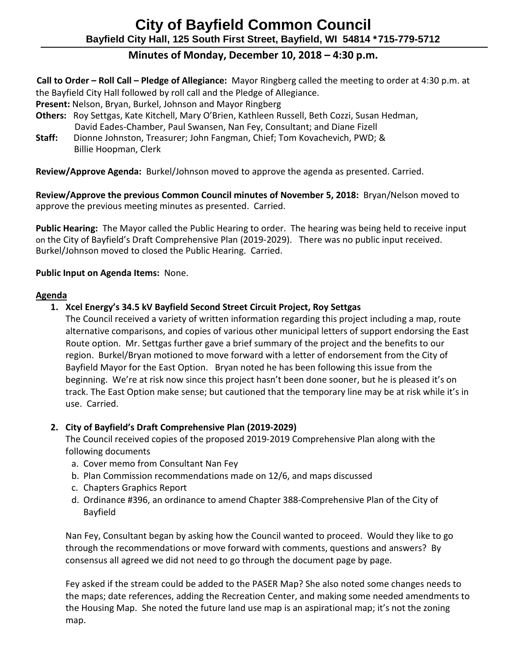# **Minutes of Monday, December 10, 2018 – 4:30 p.m.**

**Call to Order – Roll Call – Pledge of Allegiance:** Mayor Ringberg called the meeting to order at 4:30 p.m. at the Bayfield City Hall followed by roll call and the Pledge of Allegiance.

**Present:** Nelson, Bryan, Burkel, Johnson and Mayor Ringberg

- **Others:** Roy Settgas, Kate Kitchell, Mary O'Brien, Kathleen Russell, Beth Cozzi, Susan Hedman, David Eades-Chamber, Paul Swansen, Nan Fey, Consultant; and Diane Fizell
- **Staff:** Dionne Johnston, Treasurer; John Fangman, Chief; Tom Kovachevich, PWD; & Billie Hoopman, Clerk

**Review/Approve Agenda:** Burkel/Johnson moved to approve the agenda as presented. Carried.

**Review/Approve the previous Common Council minutes of November 5, 2018:** Bryan/Nelson moved to approve the previous meeting minutes as presented. Carried.

**Public Hearing:** The Mayor called the Public Hearing to order. The hearing was being held to receive input on the City of Bayfield's Draft Comprehensive Plan (2019-2029). There was no public input received. Burkel/Johnson moved to closed the Public Hearing. Carried.

## **Public Input on Agenda Items:** None.

#### **Agenda**

**1. Xcel Energy's 34.5 kV Bayfield Second Street Circuit Project, Roy Settgas**

The Council received a variety of written information regarding this project including a map, route alternative comparisons, and copies of various other municipal letters of support endorsing the East Route option. Mr. Settgas further gave a brief summary of the project and the benefits to our region. Burkel/Bryan motioned to move forward with a letter of endorsement from the City of Bayfield Mayor for the East Option. Bryan noted he has been following this issue from the beginning. We're at risk now since this project hasn't been done sooner, but he is pleased it's on track. The East Option make sense; but cautioned that the temporary line may be at risk while it's in use. Carried.

## **2. City of Bayfield's Draft Comprehensive Plan (2019-2029)**

The Council received copies of the proposed 2019-2019 Comprehensive Plan along with the following documents

- a. Cover memo from Consultant Nan Fey
- b. Plan Commission recommendations made on 12/6, and maps discussed
- c. Chapters Graphics Report
- d. Ordinance #396, an ordinance to amend Chapter 388-Comprehensive Plan of the City of Bayfield

Nan Fey, Consultant began by asking how the Council wanted to proceed. Would they like to go through the recommendations or move forward with comments, questions and answers? By consensus all agreed we did not need to go through the document page by page.

Fey asked if the stream could be added to the PASER Map? She also noted some changes needs to the maps; date references, adding the Recreation Center, and making some needed amendments to the Housing Map. She noted the future land use map is an aspirational map; it's not the zoning map.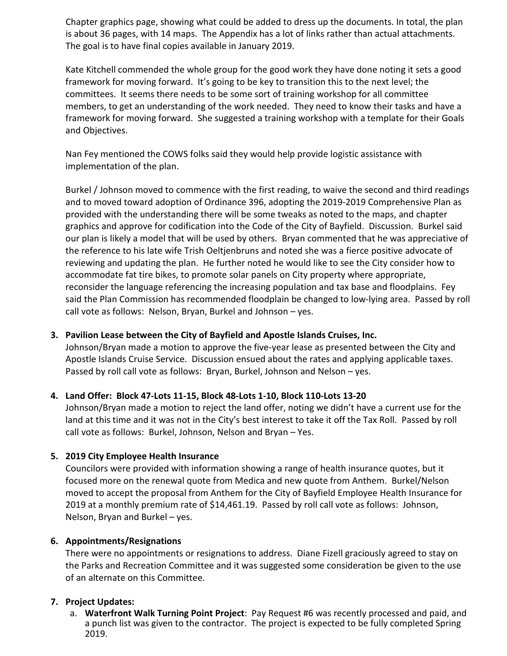Chapter graphics page, showing what could be added to dress up the documents. In total, the plan is about 36 pages, with 14 maps. The Appendix has a lot of links rather than actual attachments. The goal is to have final copies available in January 2019.

Kate Kitchell commended the whole group for the good work they have done noting it sets a good framework for moving forward. It's going to be key to transition this to the next level; the committees. It seems there needs to be some sort of training workshop for all committee members, to get an understanding of the work needed. They need to know their tasks and have a framework for moving forward. She suggested a training workshop with a template for their Goals and Objectives.

Nan Fey mentioned the COWS folks said they would help provide logistic assistance with implementation of the plan.

Burkel / Johnson moved to commence with the first reading, to waive the second and third readings and to moved toward adoption of Ordinance 396, adopting the 2019-2019 Comprehensive Plan as provided with the understanding there will be some tweaks as noted to the maps, and chapter graphics and approve for codification into the Code of the City of Bayfield. Discussion. Burkel said our plan is likely a model that will be used by others. Bryan commented that he was appreciative of the reference to his late wife Trish Oeltjenbruns and noted she was a fierce positive advocate of reviewing and updating the plan. He further noted he would like to see the City consider how to accommodate fat tire bikes, to promote solar panels on City property where appropriate, reconsider the language referencing the increasing population and tax base and floodplains. Fey said the Plan Commission has recommended floodplain be changed to low-lying area. Passed by roll call vote as follows: Nelson, Bryan, Burkel and Johnson – yes.

## **3. Pavilion Lease between the City of Bayfield and Apostle Islands Cruises, Inc.**

Johnson/Bryan made a motion to approve the five-year lease as presented between the City and Apostle Islands Cruise Service. Discussion ensued about the rates and applying applicable taxes. Passed by roll call vote as follows: Bryan, Burkel, Johnson and Nelson – yes.

## **4. Land Offer: Block 47-Lots 11-15, Block 48-Lots 1-10, Block 110-Lots 13-20**

Johnson/Bryan made a motion to reject the land offer, noting we didn't have a current use for the land at this time and it was not in the City's best interest to take it off the Tax Roll. Passed by roll call vote as follows: Burkel, Johnson, Nelson and Bryan – Yes.

## **5. 2019 City Employee Health Insurance**

Councilors were provided with information showing a range of health insurance quotes, but it focused more on the renewal quote from Medica and new quote from Anthem. Burkel/Nelson moved to accept the proposal from Anthem for the City of Bayfield Employee Health Insurance for 2019 at a monthly premium rate of \$14,461.19. Passed by roll call vote as follows: Johnson, Nelson, Bryan and Burkel – yes.

## **6. Appointments/Resignations**

There were no appointments or resignations to address. Diane Fizell graciously agreed to stay on the Parks and Recreation Committee and it was suggested some consideration be given to the use of an alternate on this Committee.

## **7. Project Updates:**

a. **Waterfront Walk Turning Point Project**: Pay Request #6 was recently processed and paid, and a punch list was given to the contractor. The project is expected to be fully completed Spring 2019.